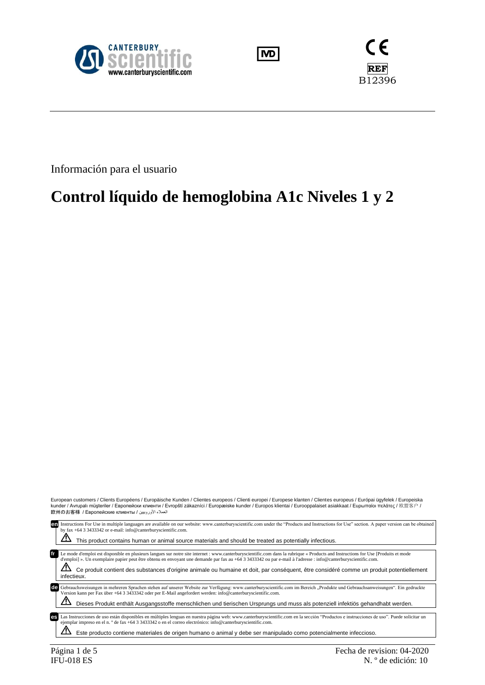





Información para el usuario

# **Control líquido de hemoglobina A1c Niveles 1 y 2**

European customers / Clients Européens / Europäische Kunden / Clientes europeos / Clienti europei / Europese klanten / Clientes europeus / Európai ügyfelek / Europeiska<br>kunder / Αντυρalı müşteriler / Европейски клиенти

| en | Instructions For Use in multiple languages are available on our website: www.canterburyscientific.com under the "Products and Instructions for Use" section. A paper version can be obtained<br>by fax +64 3 3433342 or e-mail: info@canterburyscientific.com.<br>This product contains human or animal source materials and should be treated as potentially infectious.                                                                                                                                       |
|----|-----------------------------------------------------------------------------------------------------------------------------------------------------------------------------------------------------------------------------------------------------------------------------------------------------------------------------------------------------------------------------------------------------------------------------------------------------------------------------------------------------------------|
| fr | Le mode d'emploi est disponible en plusieurs langues sur notre site internet : www.canterburyscientific.com dans la rubrique « Products and Instructions for Use [Produits et mode<br>d'emploi] ». Un exemplaire papier peut être obtenu en envoyant une demande par fax au +64 3 3433342 ou par e-mail à l'adresse : info@canterburyscientific.com.<br>Ce produit contient des substances d'origine animale ou humaine et doit, par conséquent, être considéré comme un produit potentiellement<br>infectieux. |
|    | de Gebrauchsweisungen in mehreren Sprachen stehen auf unserer Website zur Verfügung: www.canterburyscientific.com im Bereich "Produkte und Gebrauchsanweisungen". Ein gedruckte<br>Version kann per Fax über +64 3 3433342 oder per E-Mail angefordert werden: info@canterburyscientific.com.<br>Dieses Produkt enthält Ausgangsstoffe menschlichen und tierischen Ursprungs und muss als potenziell infektiös gehandhabt werden.                                                                               |
| es | Las Instrucciones de uso están disponibles en múltiples lenguas en nuestra página web: www.canterburyscientific.com en la sección "Productos e instrucciones de uso". Puede solicitar un<br>ejemplar impreso en el n. º de fax +64 3 3433342 o en el correo electrónico: info@canterburyscientific.com.<br>Este producto contiene materiales de origen humano o animal y debe ser manipulado como potencialmente infeccioso.                                                                                    |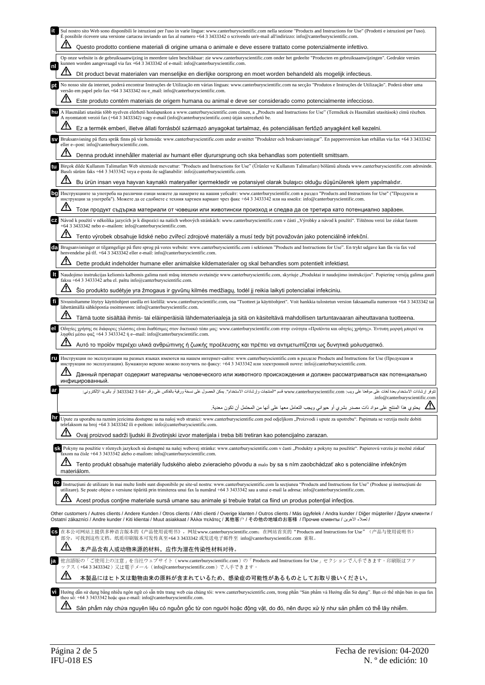| Sul nostro sito Web sono disponibili le istruzioni per l'uso in varie lingue: www.canterburyscientific.com nella sezione "Products and Instructions for Use" (Prodotti e istruzioni per l'uso).<br>È possibile ricevere una versione cartacea inviando un fax al numero +64 3 3433342 o scrivendo un'e-mail all'indirizzo: info@canterburyscientific.com.         |
|-------------------------------------------------------------------------------------------------------------------------------------------------------------------------------------------------------------------------------------------------------------------------------------------------------------------------------------------------------------------|
| Questo prodotto contiene materiali di origine umana o animale e deve essere trattato come potenzialmente infettivo.                                                                                                                                                                                                                                               |
| Op onze website is de gebruiksaanwijzing in meerdere talen beschikbaar: zie www.canterburyscientific.com onder het gedeelte "Producten en gebruiksaanwijzingen". Gedrukte versies<br>kunnen worden aangevraagd via fax +64 3 3433342 of e-mail: info@canterburyscientific.com.                                                                                    |
| nl<br>Dit product bevat materialen van menselijke en dierlijke oorsprong en moet worden behandeld als mogelijk infectieus.                                                                                                                                                                                                                                        |
| No nosso site da internet, poderá encontrar Instruções de Utilização em várias línguas: www.canterburyscientific.com na secção "Produtos e Instruções de Utilização". Poderá obter uma<br>versão em papel pelo fax +64 3 3433342 ou e_mail: info@canterburyscientific.com.                                                                                        |
| Este produto contém materiais de origem humana ou animal e deve ser considerado como potencialmente infeccioso.                                                                                                                                                                                                                                                   |
| A Használati utasítás több nyelven elérhető honlapunkon a www.canterburyscientific.com címen, a "Products and Instructions for Use" (Termékek és Használati utasítások) című részben.<br>A nyomtatott verzió fax (+64 3 3433342) vagy e-mail (info@canterburyscientific.com) útján szerezhető be.                                                                 |
| Ez a termék emberi, illetve állati forrásból származó anyagokat tartalmaz, és potenciálisan fertőző anyagként kell kezelni.                                                                                                                                                                                                                                       |
| Bruksanvisning på flera språk finns på vår hemsida: www.canterburyscientific.com under avsnittet "Produkter och bruksanvisningar". En pappersversion kan erhållas via fax +64 3 3433342<br>eller e--post: info@canterburyscientific.com.                                                                                                                          |
| Denna produkt innehåller material av humant eller djurursprung och ska behandlas som potentiellt smittsam.                                                                                                                                                                                                                                                        |
| Birçok dilde Kullanım Talimatları Web sitemizde mevcuttur: "Products and Instructions for Use" (Ürünler ve Kullanım Talimatları) bölümü altında www.canterburyscientific.com adresinde.<br>Basılı sürüm faks +64 3 3433342 veya e-posta ile sağlanabilir: info@canterburyscientific.com.                                                                          |
| Bu ürün insan veya hayvan kaynaklı materyaller içermektedir ve potansiyel olarak bulaşıcı olduğu düşünülerek işlem yapılmalıdır.                                                                                                                                                                                                                                  |
| Инструкциите за употреба на различни езици можете да намерите на нашия уебсайт: www.canterburyscientific.com в раздел "Products and Instructions for Use" ("Продукти и<br>инструкции за употреба"). Можете да се сдобиете с техния хартиен вариант чрез факс +64 3 3433342 или на имейл: info@canterburyscientific.com.                                           |
| Този продукт съдържа материали от човешки или животински произход и следва да се третира като потенциално зара̀зен.                                                                                                                                                                                                                                               |
| Návod k použití v několika jazycích je k dispozici na našich webových stránkách: www.canterburyscientific.com v části "Výrobky a návod k použití". Tištěnou verzi lze získat faxem<br>CZ.<br>+64 3 3433342 nebo e--mailem: info@canterburyscientific.com.                                                                                                         |
| Tento výrobek obsahuje lidské nebo zvířecí zdrojové materiály a musí tedy být považován jako potenciálně infekční.                                                                                                                                                                                                                                                |
| Brugsanvisninger er tilgængelige på flere sprog på vores website: www.canterburyscientific.com i sektionen "Products and Instructions for Use". En trykt udgave kan fås via fax ved<br>henvendelse på tlf. +64 3 3433342 eller e-mail: info@canterburyscientific.com.                                                                                             |
| Dette produkt indeholder humane eller animalske kildematerialer og skal behandles som potentielt infektiøst.                                                                                                                                                                                                                                                      |
| Naudojimo instrukcijas keliomis kalbomis galima rasti mūsų interneto svetainėje www.canterburyscientific.com, skyriuje "Produktai ir naudojimo instrukcijos". Popierinę versiją galima gauti<br>faksu +64 3 3433342 arba el. paštu info@canterburyscientific.com.                                                                                                 |
| Šio produkto sudėtyje yra žmogaus ir gyvūnų kilmės medžiagų, todėl jį reikia laikyti potencialiai infekciniu.                                                                                                                                                                                                                                                     |
| Sivustoltamme löytyy käyttöohjeet useilla eri kielillä: www.canterburyscientific.com, osa "Tuotteet ja käyttöohjeet". Voit hankkia tulostetun version faksaamalla numeroon +64 3 3433342 tai                                                                                                                                                                      |
| lähettämällä sähköpostia osoitteeseen: info@canterburyscientific.com.<br>Tämä tuote sisältää ihmis- tai eläinperäisiä lähdemateriaaleja ja sitä on käsiteltävä mahdollisen tartuntavaaran aiheuttavana tuotteena.                                                                                                                                                 |
| Οδηγίες χρήσης σε διάφορες γλώσσες είναι διαθέσιμες στον δικτυακό τόπο μας: www.canterburyscientific.com στην ενότητα «Προϊόντα και οδηγίες χρήσης». Έντυπη μορφή μπορεί να                                                                                                                                                                                       |
| ληφθεί μέσω φαξ +64 3 3433342 ή e--mail: info@canterburyscientific.com.<br>Αυτό το προϊόν περιέχει υλικά ανθρώπινης ή ζωικής προέλευσης και πρέπει να αντιμετωπίζεται ως δυνητικά μολυσματικό.                                                                                                                                                                    |
| Инструкции по эксплуатации на разных языках имеются на нашем интернет-сайте: www.canterburyscientific.com в разделе Products and Instructions for Use (Продукция и                                                                                                                                                                                                |
| инструкции по эксплуатации). Бумажную версию можно получить по факсу: +64 3 3433342 или электронной почте: info@canterburyscientific.com.<br>Данный препарат содержит материалы человеческого или животного происхождения и должен рассматриваться как потенциально<br>инфицированный.                                                                            |
| +64 3 3433342 أو بالبريد<br>وإرشادات الاستخدام". يمكن الحصول على نس<br>موتعد على ويب: www.canterburyscientific.com قسم "المنتجات<br>توفر إرشادات الاستخدام بعدة لغات على<br>.info@canterburyscientific.com                                                                                                                                                        |
| مي التحتوي هذا المنتج على مواد ذات مصدر بشري أو حيواني ويجب التعامل معها على أنها من المحتمل أن تكون معدية. المجموع                                                                                                                                                                                                                                               |
| hr<br>Upute za uporabu na raznim jezicima dostupne su na našoj web stranici: www.canterburyscientific.com pod odjelikom "Proizvodi i upute za upotrebu". Papirnata se verzija može dobiti<br>telefaksom na broj +64 3 3433342 ili e-poštom: info@canterburyscientific.com.                                                                                        |
| Ovaj proizvod sadrži ljudski ili životinjski izvor materijala i treba biti tretiran kao potencijalno zarazan.                                                                                                                                                                                                                                                     |
| Sk Pokyny na použitie v rôznych jazykoch sú dostupné na našej webovej stránke: www.canterburyscientific.com v časti "Produkty a pokyny na použitie". Papierovú verziu je možné získať<br>faxom na čísle +64 3 3433342 alebo e-mailom: info@canterburyscientific.com.                                                                                              |
| Tento produkt obsahuje materiály ľudského alebo zvieracieho pôvodu a malo by sa s ním zaobchádzať ako s potenciálne infekčným<br>materiálom.                                                                                                                                                                                                                      |
| ro<br>Instructiuni de utilizare în mai multe limbi sunt disponibile pe site-ul nostru: www.canterburyscientific.com la sectiunea "Products and Instructions for Use" (Produse și instructiuni de<br>utilizare). Se poate obține o versiune tipărită prin trimiterea unui fax la numărul +64 3 3433342 sau a unui e-mail la adresa: info@canterburyscientific.com. |
| Acest produs contine materiale sursă umane sau animale și trebuie tratat ca fiind un produs potențial infecțios.                                                                                                                                                                                                                                                  |
| Other customers / Autres clients / Andere Kunden / Otros clients / Altri clienti / Overige klanten / Outros clients / Más ügyfelek / Andra kunder / Diğer müşteriler / Други клиенти /<br>الحملاء الأخرين / Ostatní zákazníci / Andre kunder / Kiti klientai / Muut asiakkaat / Άλλοι πελάτες / 其他客户 / その他の地域のお客様 / Прочие клиенты / لعملاء الأخرين               |
| 在本公司网站上提供多种语言版本的《产品使用说明书》, 网址www.canterburyscientific.com; 在网站首页的"Products and Instructions for Use"(产品与使用说明书)<br>部分, 可找到这些文档。纸质印刷版本可发传真至+64 3 3433342 或发送电子邮件至 info@canterburyscientific.com 索取。                                                                                                                                                                 |
| <u>/!\</u><br>本产品含有人或动物来源的材料,应作为潜在传染性材料对待。                                                                                                                                                                                                                                                                                                                        |
| 他言語版の「ご使用上の注意」を当社ウェブサイト (www.canterburyscientific.com)の「Products and Instructions for Use」セクションで入手できます。印刷版はファ<br>ックス (+643343342) 又は電子メール (info@canterburyscientific.com) で入手できます。                                                                                                                                                                                |
| <u>/\</u><br>本製品にはヒト又は動物由来の原料が含まれているため、感染症の可能性があるものとしてお取り扱いください。                                                                                                                                                                                                                                                                                                  |
| Hướng dẫn sử dụng bằng nhiều ngôn ngữ có sẵn trên trang web của chúng tôi: www.canterburyscientific.com, trong phần "Sản phầm và Hướng dẫn Sử dụng". Bạn có thể nhận bản in qua fax                                                                                                                                                                               |
| theo số: +64 3 3433342 hoặc qua e-mail: info@canterburyscientific.com.<br>Sản phẩm này chứa nguyên liệu có nguồn gốc từ con người hoặc động vật, do đó, nên được xử lý như sản phẩm có thể lây nhiễm.                                                                                                                                                             |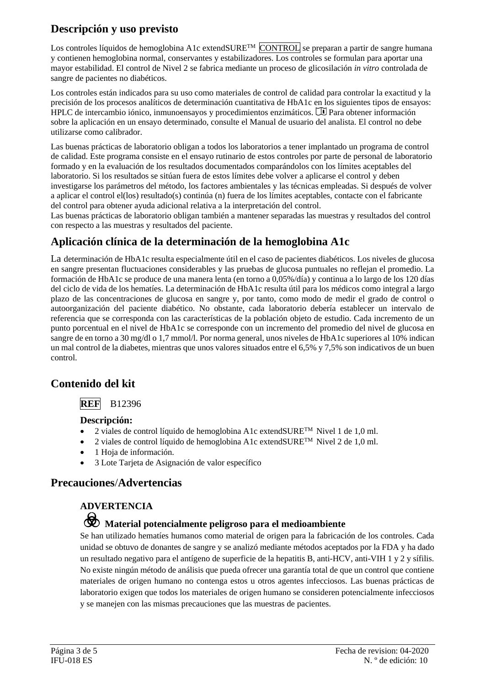## **Descripción y uso previsto**

Los controles líquidos de hemoglobina A1c extendSURE<sup>TM</sup> CONTROL se preparan a partir de sangre humana y contienen hemoglobina normal, conservantes y estabilizadores. Los controles se formulan para aportar una mayor estabilidad. El control de Nivel 2 se fabrica mediante un proceso de glicosilación *in vitro* controlada de sangre de pacientes no diabéticos.

Los controles están indicados para su uso como materiales de control de calidad para controlar la exactitud y la precisión de los procesos analíticos de determinación cuantitativa de HbA1c en los siguientes tipos de ensayos: HPLC de intercambio iónico, inmunoensayos y procedimientos enzimáticos.  $\Box$  Para obtener información sobre la aplicación en un ensayo determinado, consulte el Manual de usuario del analista. El control no debe utilizarse como calibrador.

Las buenas prácticas de laboratorio obligan a todos los laboratorios a tener implantado un programa de control de calidad. Este programa consiste en el ensayo rutinario de estos controles por parte de personal de laboratorio formado y en la evaluación de los resultados documentados comparándolos con los límites aceptables del laboratorio. Si los resultados se sitúan fuera de estos límites debe volver a aplicarse el control y deben investigarse los parámetros del método, los factores ambientales y las técnicas empleadas. Si después de volver a aplicar el control el(los) resultado(s) continúa (n) fuera de los límites aceptables, contacte con el fabricante del control para obtener ayuda adicional relativa a la interpretación del control.

Las buenas prácticas de laboratorio obligan también a mantener separadas las muestras y resultados del control con respecto a las muestras y resultados del paciente.

### **Aplicación clínica de la determinación de la hemoglobina A1c**

La determinación de HbA1c resulta especialmente útil en el caso de pacientes diabéticos. Los niveles de glucosa en sangre presentan fluctuaciones considerables y las pruebas de glucosa puntuales no reflejan el promedio. La formación de HbA1c se produce de una manera lenta (en torno a 0,05%/día) y continua a lo largo de los 120 días del ciclo de vida de los hematíes. La determinación de HbA1c resulta útil para los médicos como integral a largo plazo de las concentraciones de glucosa en sangre y, por tanto, como modo de medir el grado de control o autoorganización del paciente diabético. No obstante, cada laboratorio debería establecer un intervalo de referencia que se corresponda con las características de la población objeto de estudio. Cada incremento de un punto porcentual en el nivel de HbA1c se corresponde con un incremento del promedio del nivel de glucosa en sangre de en torno a 30 mg/dl o 1,7 mmol/l. Por norma general, unos niveles de HbA1c superiores al 10% indican un mal control de la diabetes, mientras que unos valores situados entre el 6,5% y 7,5% son indicativos de un buen control.

### **Contenido del kit**

### **REF** B12396

#### **Descripción:**

- 2 viales de control líquido de hemoglobina A1c extendSURE™ Nivel 1 de 1,0 ml.
- 2 viales de control líquido de hemoglobina A1c extendSURE<sup>TM</sup> Nivel 2 de 1,0 ml.
- 1 Hoja de información.
- 3 Lote Tarjeta de Asignación de valor específico

### **Precauciones**/**Advertencias**

### **ADVERTENCIA**

# F **Material potencialmente peligroso para el medioambiente**

Se han utilizado hematíes humanos como material de origen para la fabricación de los controles. Cada unidad se obtuvo de donantes de sangre y se analizó mediante métodos aceptados por la FDA y ha dado un resultado negativo para el antígeno de superficie de la hepatitis B, anti-HCV, anti-VIH 1 y 2 y sífilis. No existe ningún método de análisis que pueda ofrecer una garantía total de que un control que contiene materiales de origen humano no contenga estos u otros agentes infecciosos. Las buenas prácticas de laboratorio exigen que todos los materiales de origen humano se consideren potencialmente infecciosos y se manejen con las mismas precauciones que las muestras de pacientes.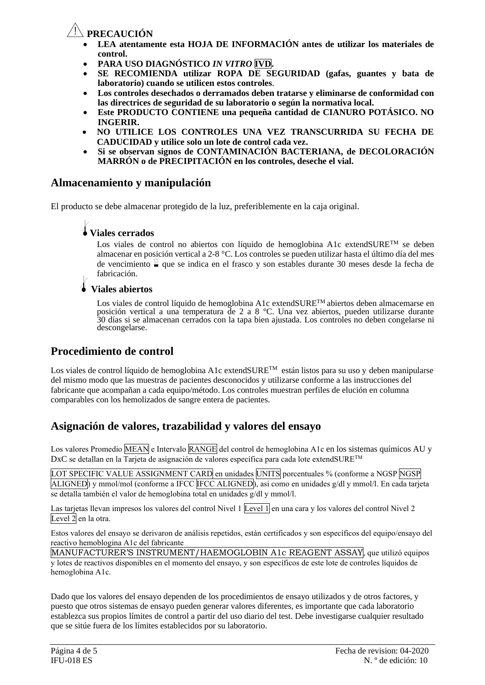### Y**PRECAUCIÓN**

- **LEA atentamente esta HOJA DE INFORMACIÓN antes de utilizar los materiales de control.**
- **PARA USO DIAGNÓSTICO** *IN VITRO* **IVD.**
- **SE RECOMIENDA utilizar ROPA DE SEGURIDAD (gafas, guantes y bata de laboratorio) cuando se utilicen estos controles***.*
- **Los controles desechados o derramados deben tratarse y eliminarse de conformidad con las directrices de seguridad de su laboratorio o según la normativa local.**
- **Este PRODUCTO CONTIENE una pequeña cantidad de CIANURO POTÁSICO. NO INGERIR.**
- **NO UTILICE LOS CONTROLES UNA VEZ TRANSCURRIDA SU FECHA DE CADUCIDAD y utilice solo un lote de control cada vez.**
- **Si se observan signos de CONTAMINACIÓN BACTERIANA, de DECOLORACIÓN MARRÓN o de PRECIPITACIÓN en los controles, deseche el vial.**

### **Almacenamiento y manipulación**

El producto se debe almacenar protegido de la luz, preferiblemente en la caja original.

### l**Viales cerrados**

Los viales de control no abiertos con líquido de hemoglobina A1c extendSURE™ se deben almacenar en posición vertical a 2-8 °C. Los controles se pueden utilizar hasta el último día del mes de vencimiento  $\frac{8}{9}$  que se indica en el frasco y son estables durante 30 meses desde la fecha de

# fabricación. l **Viales abiertos**

Los viales de control líquido de hemoglobina A1c extendSURE<sup>TM</sup> abiertos deben almacemarse en posición vertical a una temperatura de 2 a 8 °C. Una vez abiertos, pueden utilizarse durante 30 días si se almacenan cerrados con la tapa bien ajustada. Los controles no deben congelarse ni descongelarse.

### **Procedimiento de control**

Los viales de control líquido de hemoglobina A1c extendSURE™ están listos para su uso y deben manipularse del mismo modo que las muestras de pacientes desconocidos y utilizarse conforme a las instrucciones del fabricante que acompañan a cada equipo/método. Los controles muestran perfiles de elución en columna comparables con los hemolizados de sangre entera de pacientes.

### **Asignación de valores, trazabilidad y valores del ensayo**

Los valores Promedio MEAN e Intervalo RANGE del control de hemoglobina A1c en los sistemas químicos AU y DxC se detallan en la Tarjeta de asignación de valores específica para cada lote extendSURETM

LOT SPECIFIC VALUE ASSIGNMENT CARD en unidades UNITS porcentuales % (conforme a NGSP NGSP ALIGNED) y mmol/mol (conforme a IFCC IFCC ALIGNED), asi como en unidades g/dl y mmol/l. En cada tarjeta se detalla también el valor de hemoglobina total en unidades g/dl y mmol/l.

Las tarjetas llevan impresos los valores del control Nivel 1 Level 1 en una cara y los valores del control Nivel 2 Level 2 en la otra.

Estos valores del ensayo se derivaron de análisis repetidos, están certificados y son específicos del equipo/ensayo del reactivo hemoblogina A1c del fabricante

MANUFACTURER'S INSTRUMENT/HAEMOGLOBIN A1c REAGENT ASSAY, que utilizó equipos y lotes de reactivos disponibles en el momento del ensayo, y son específicos de este lote de controles líquidos de hemoglobina A1c.

Dado que los valores del ensayo dependen de los procedimientos de ensayo utilizados y de otros factores, y puesto que otros sistemas de ensayo pueden generar valores diferentes, es importante que cada laboratorio establezca sus propios límites de control a partir del uso diario del test. Debe investigarse cualquier resultado que se sitúe fuera de los límites establecidos por su laboratorio.